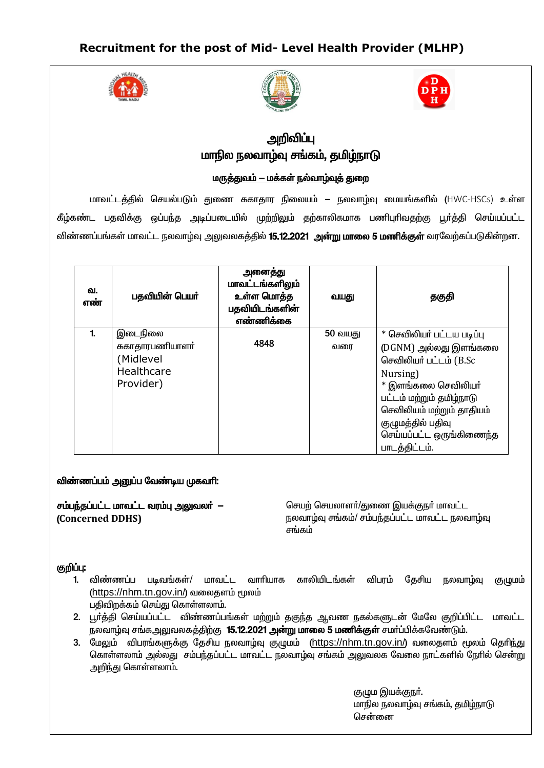## Recruitment for the post of Mid- Level Health Provider (MLHP)





# அறிவிப்பு மாநில நலவாம்வு சங்கம், தமிம்நாடு

<u> மருத்துவம் — மக்கள் நல்வாழ்வுத் துறை</u>

மாவட்டத்தில் செயல்படும் துணை சுகாதார நிலையம் — நலவாழ்வு மையங்களில் (HWC-HSCs) உள்ள கீழ்கண்ட பதவிக்கு ஒப்பந்த அடிப்படையில் முற்றிலும் தற்காலிகமாக பணிபுரிவதற்கு பூர்த்தி செய்யப்பட்ட விண்ணப்பங்கள் மாவட்ட நலவாழ்வு அலுவலகத்தில் **15.12.2021 அன்று மாலை 5 மணிக்குள்** வரவேற்கப்படுகின்றன.

| ഖ.<br>எண் | பதவியின் பெயர்  | அனைத்து<br>மாவட்டங்களிலும்<br>உள்ள மொத்த<br>பதவியிடங்களின்<br>எண்ணிக்கை | வயது    | தகுதி                     |
|-----------|-----------------|-------------------------------------------------------------------------|---------|---------------------------|
|           | இடைநிலை         |                                                                         | 50 வயது | * செவிலியர் பட்டய படிப்பு |
|           | சுகாதாரபணியாளர் | 4848                                                                    | வரை     | (DGNM) அல்லது இளங்கலை     |
|           | (Midlevel       |                                                                         |         | செவிலியர் பட்டம் (B.Sc    |
|           | Healthcare      |                                                                         |         | Nursing)                  |
|           | Provider)       |                                                                         |         | $*$ இளங்கலை செவிலியா்     |
|           |                 |                                                                         |         | பட்டம் மற்றும் தமிழ்நாடு  |
|           |                 |                                                                         |         | செவிலியம் மற்றும் தாதியம் |
|           |                 |                                                                         |         | குழுமத்தில் பதிவு         |
|           |                 |                                                                         |         | செய்யப்பட்ட ஒருங்கிணைந்த  |
|           |                 |                                                                         |         | பாடத்திட்டம்.             |

### விண்ணப்பம் அனுப்ப வேண்டிய முகவரி:

சம்பந்தப்பட்ட மாவட்ட வரம்பு அலுவலர் – (Concerned DDHS)

செயற் செயலாளா்/துணை இயக்குநா் மாவட்ட நலவாழ்வு சங்கம்/ சம்பந்தப்பட்ட மாவட்ட நலவாழ்வு சங்கம்

### குறிப்பு:

- 1. விண்ணப்ப படிவங்கள்/ மாவட்ட வாாியாக காலியிடங்கள் தேசிய நலவாழ்வு விபரம் (குழுமம் (https://nhm.tn.gov.in/) வலைதளம் மூலம் பதிவிறக்கம் செய்து கொள்ளலாம்.
- 2. பூர்த்தி செய்யப்பட்ட விண்ணப்பங்கள் மற்றும் தகுந்த ஆவண நகல்களுடன் மேலே குறிப்பிட்ட மாவட்ட .<br>நலவாழ்வு சங்கஅலுவலகத்திற்கு **15.12.2021 அன்று மாலை 5 மணிக்குள்** சமாப்பிக்கவேண்டும்.
- 3. மேலும் விபரங்களுக்கு தேசிய நலவாழ்வு குழுமம் (https://nhm.tn.gov.in/) வலைதளம் மூலம் தெரிந்து கொள்ளலாம் அல்லது சம்பந்தப்பட்ட மாவட்ட நலவாம்வு சங்கம் அலுவலக வேலை நாட்களில் நேரில் சென்று அறிந்து கொள்ளலாம்.

குழும இயக்குநா். மாநில நலவாழ்வு சங்கம், தமிழ்நாடு சென்னை